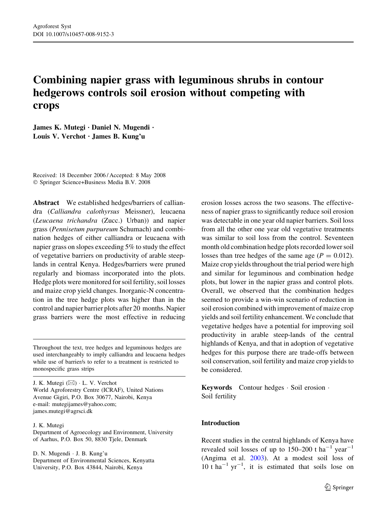# Combining napier grass with leguminous shrubs in contour hedgerows controls soil erosion without competing with crops

James K. Mutegi · Daniel N. Mugendi · Louis V. Verchot · James B. Kung'u

Received: 18 December 2006 / Accepted: 8 May 2008 Springer Science+Business Media B.V. 2008

Abstract We established hedges/barriers of calliandra (Calliandra calothyrsus Meissner), leucaena (Leucaena trichandra (Zucc.) Urban)) and napier grass (Pennisetum purpureum Schumach) and combination hedges of either calliandra or leucaena with napier grass on slopes exceeding 5% to study the effect of vegetative barriers on productivity of arable steeplands in central Kenya. Hedges/barriers were pruned regularly and biomass incorporated into the plots. Hedge plots were monitored for soil fertility, soil losses and maize crop yield changes. Inorganic-N concentration in the tree hedge plots was higher than in the control and napier barrier plots after 20 months. Napier grass barriers were the most effective in reducing

J. K. Mutegi (&) L. V. Verchot World Agroforestry Centre (ICRAF), United Nations Avenue Gigiri, P.O. Box 30677, Nairobi, Kenya e-mail: mutegijames@yahoo.com; james.mutegi@agrsci.dk

## J. K. Mutegi

Department of Agroecology and Environment, University of Aarhus, P.O. Box 50, 8830 Tjele, Denmark

D. N. Mugendi · J. B. Kung'u Department of Environmental Sciences, Kenyatta University, P.O. Box 43844, Nairobi, Kenya

erosion losses across the two seasons. The effectiveness of napier grass to significantly reduce soil erosion was detectable in one year old napier barriers. Soil loss from all the other one year old vegetative treatments was similar to soil loss from the control. Seventeen month old combination hedge plots recorded lower soil losses than tree hedges of the same age ( $P = 0.012$ ). Maize crop yields throughout the trial period were high and similar for leguminous and combination hedge plots, but lower in the napier grass and control plots. Overall, we observed that the combination hedges seemed to provide a win-win scenario of reduction in soil erosion combined with improvement of maize crop yields and soil fertility enhancement. We conclude that vegetative hedges have a potential for improving soil productivity in arable steep-lands of the central highlands of Kenya, and that in adoption of vegetative hedges for this purpose there are trade-offs between soil conservation, soil fertility and maize crop yields to be considered.

Keywords Contour hedges  $\cdot$  Soil erosion  $\cdot$ Soil fertility

## **Introduction**

Recent studies in the central highlands of Kenya have revealed soil losses of up to 150–200 t ha<sup>-1</sup> year<sup>-1</sup> (Angima et al. [2003\)](#page-10-0). At a modest soil loss of 10 t ha<sup>-1</sup> yr<sup>-1</sup>, it is estimated that soils lose on

Throughout the text, tree hedges and leguminous hedges are used interchangeably to imply calliandra and leucaena hedges while use of barrier/s to refer to a treatment is restricted to monospecific grass strips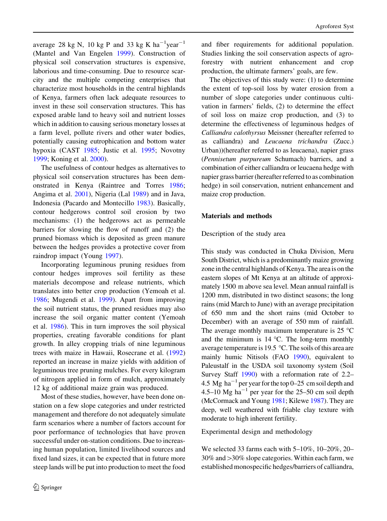average 28 kg N, 10 kg P and 33 kg K  $ha^{-1}year^{-1}$ (Mantel and Van Engelen [1999](#page-11-0)). Construction of physical soil conservation structures is expensive, laborious and time-consuming. Due to resource scarcity and the multiple competing enterprises that characterize most households in the central highlands of Kenya, farmers often lack adequate resources to invest in these soil conservation structures. This has exposed arable land to heavy soil and nutrient losses which in addition to causing serious monetary losses at a farm level, pollute rivers and other water bodies, potentially causing eutrophication and bottom water hypoxia (CAST [1985](#page-10-0); Justic et al. [1995](#page-11-0); Novotny [1999;](#page-11-0) Koning et al. [2000](#page-11-0)).

The usefulness of contour hedges as alternatives to physical soil conservation structures has been demonstrated in Kenya (Raintree and Torres [1986](#page-11-0); Angima et al. [2001](#page-10-0)), Nigeria (Lal [1989](#page-11-0)) and in Java, Indonesia (Pacardo and Montecillo [1983](#page-11-0)). Basically, contour hedgerows control soil erosion by two mechanisms: (1) the hedgerows act as permeable barriers for slowing the flow of runoff and (2) the pruned biomass which is deposited as green manure between the hedges provides a protective cover from raindrop impact (Young [1997](#page-12-0)).

Incorporating leguminous pruning residues from contour hedges improves soil fertility as these materials decompose and release nutrients, which translates into better crop production (Yemoah et al. [1986;](#page-12-0) Mugendi et al. [1999](#page-11-0)). Apart from improving the soil nutrient status, the pruned residues may also increase the soil organic matter content (Yemoah et al. [1986\)](#page-12-0). This in turn improves the soil physical properties, creating favorable conditions for plant growth. In alley cropping trials of nine leguminous trees with maize in Hawaii, Rosecrane et al. ([1992\)](#page-11-0) reported an increase in maize yields with addition of leguminous tree pruning mulches. For every kilogram of nitrogen applied in form of mulch, approximately 12 kg of additional maize grain was produced.

Most of these studies, however, have been done onstation on a few slope categories and under restricted management and therefore do not adequately simulate farm scenarios where a number of factors account for poor performance of technologies that have proven successful under on-station conditions. Due to increasing human population, limited livelihood sources and fixed land sizes, it can be expected that in future more steep lands will be put into production to meet the food

and fiber requirements for additional population. Studies linking the soil conservation aspects of agroforestry with nutrient enhancement and crop production, the ultimate farmers' goals, are few.

The objectives of this study were: (1) to determine the extent of top-soil loss by water erosion from a number of slope categories under continuous cultivation in farmers' fields, (2) to determine the effect of soil loss on maize crop production, and (3) to determine the effectiveness of leguminous hedges of Calliandra calothyrsus Meissner (hereafter referred to as calliandra) and Leucaena trichandra (Zucc.) Urban))(hereafter referred to as leucaena), napier grass (Pennisetum purpureum Schumach) barriers, and a combination of either calliandra or leucaena hedge with napier grass barrier (hereafter referred to as combination hedge) in soil conservation, nutrient enhancement and maize crop production.

# Materials and methods

# Description of the study area

This study was conducted in Chuka Division, Meru South District, which is a predominantly maize growing zone in the central highlands of Kenya. The area is on the eastern slopes of Mt Kenya at an altitude of approximately 1500 m above sea level. Mean annual rainfall is 1200 mm, distributed in two distinct seasons; the long rains (mid March to June) with an average precipitation of 650 mm and the short rains (mid October to December) with an average of 550 mm of rainfall. The average monthly maximum temperature is  $25^{\circ}$ C and the minimum is  $14 \text{ °C}$ . The long-term monthly average temperature is 19.5  $\degree$ C. The soils of this area are mainly humic Nitisols (FAO [1990\)](#page-10-0), equivalent to Paleustalf in the USDA soil taxonomy system (Soil Survey Staff [1990\)](#page-12-0) with a reformation rate of 2.2– 4.5 Mg ha<sup> $-1$ </sup> per year for the top 0–25 cm soil depth and 4.5–10  $Mg$  ha<sup>-1</sup> per year for the 25–50 cm soil depth (McCormack and Young [1981;](#page-11-0) Kilewe [1987](#page-11-0)). They are deep, well weathered with friable clay texture with moderate to high inherent fertility.

Experimental design and methodology

We selected 33 farms each with 5–10%, 10–20%, 20–  $30\%$  and  $>30\%$  slope categories. Within each farm, we established monospecific hedges/barriers of calliandra,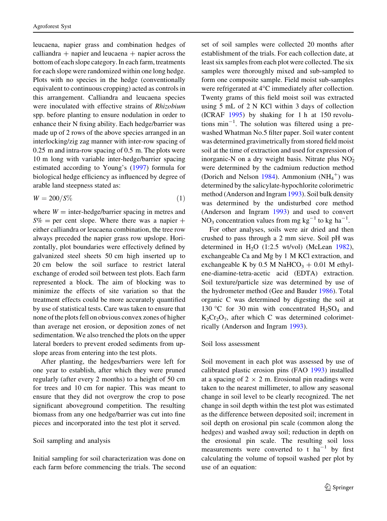leucaena, napier grass and combination hedges of calliandra  $+$  napier and leucaena  $+$  napier across the bottom of each slope category. In each farm, treatments for each slope were randomized within one long hedge. Plots with no species in the hedge (conventionally equivalent to continuous cropping) acted as controls in this arrangement. Calliandra and leucaena species were inoculated with effective strains of Rhizobium spp. before planting to ensure nodulation in order to enhance their N fixing ability. Each hedge/barrier was made up of 2 rows of the above species arranged in an interlocking/zig zag manner with inter-row spacing of 0.25 m and intra-row spacing of 0.5 m. The plots were 10 m long with variable inter-hedge/barrier spacing estimated according to Young's [\(1997](#page-12-0)) formula for biological hedge efficiency as influenced by degree of arable land steepness stated as:

$$
W = 200/S\% \tag{1}
$$

where  $W =$  inter-hedge/barrier spacing in metres and  $S\%$  = per cent slope. Where there was a napier + either calliandra or leucaena combination, the tree row always preceded the napier grass row upslope. Horizontally, plot boundaries were effectively defined by galvanized steel sheets 50 cm high inserted up to 20 cm below the soil surface to restrict lateral exchange of eroded soil between test plots. Each farm represented a block. The aim of blocking was to minimize the effects of site variation so that the treatment effects could be more accurately quantified by use of statistical tests. Care was taken to ensure that none of the plots fell on obvious convex zones of higher than average net erosion, or deposition zones of net sedimentation. We also trenched the plots on the upper lateral borders to prevent eroded sediments from upslope areas from entering into the test plots.

After planting, the hedges/barriers were left for one year to establish, after which they were pruned regularly (after every 2 months) to a height of 50 cm for trees and 10 cm for napier. This was meant to ensure that they did not overgrow the crop to pose significant aboveground competition. The resulting biomass from any one hedge/barrier was cut into fine pieces and incorporated into the test plot it served.

### Soil sampling and analysis

Initial sampling for soil characterization was done on each farm before commencing the trials. The second set of soil samples were collected 20 months after establishment of the trials. For each collection date, at least six samples from each plot were collected. The six samples were thoroughly mixed and sub-sampled to form one composite sample. Field moist sub-samples were refrigerated at  $4^{\circ}$ C immediately after collection. Twenty grams of this field moist soil was extracted using 5 mL of 2 N KCl within 3 days of collection (ICRAF [1995](#page-11-0)) by shaking for 1 h at 150 revolutions  $min^{-1}$ . The solution was filtered using a prewashed Whatman No.5 filter paper. Soil water content was determined gravimetrically from stored field moist soil at the time of extraction and used for expression of inorganic-N on a dry weight basis. Nitrate plus NO<sub>2</sub> were determined by the cadmium reduction method (Dorich and Nelson [1984](#page-10-0)). Ammonium  $(NH_4^+)$  was determined by the salicylate-hypochlorite colorimetric method (Anderson and Ingram [1993\)](#page-10-0). Soil bulk density was determined by the undisturbed core method (Anderson and Ingram [1993\)](#page-10-0) and used to convert  $NO_3$  concentration values from mg kg<sup>-1</sup> to kg ha<sup>-1</sup>.

For other analyses, soils were air dried and then crushed to pass through a 2 mm sieve. Soil pH was determined in  $H<sub>2</sub>O$  (1:2.5 wt/vol) (McLean [1982](#page-11-0)), exchangeable Ca and Mg by 1 M KCl extraction, and exchangeable K by 0.5 M NaHCO<sub>3</sub> + 0.01 M ethylene-diamine-tetra-acetic acid (EDTA) extraction. Soil texture/particle size was determined by use of the hydrometer method (Gee and Bauder [1986\)](#page-11-0). Total organic C was determined by digesting the soil at 130 °C for 30 min with concentrated  $H_2SO_4$  and  $K_2Cr_2O_7$ , after which C was determined colorimetrically (Anderson and Ingram [1993](#page-10-0)).

## Soil loss assessment

Soil movement in each plot was assessed by use of calibrated plastic erosion pins (FAO [1993](#page-10-0)) installed at a spacing of  $2 \times 2$  m. Erosional pin readings were taken to the nearest millimeter, to allow any seasonal change in soil level to be clearly recognized. The net change in soil depth within the test plot was estimated as the difference between deposited soil; increment in soil depth on erosional pin scale (common along the hedges) and washed away soil; reduction in depth on the erosional pin scale. The resulting soil loss measurements were converted to t  $ha^{-1}$  by first calculating the volume of topsoil washed per plot by use of an equation: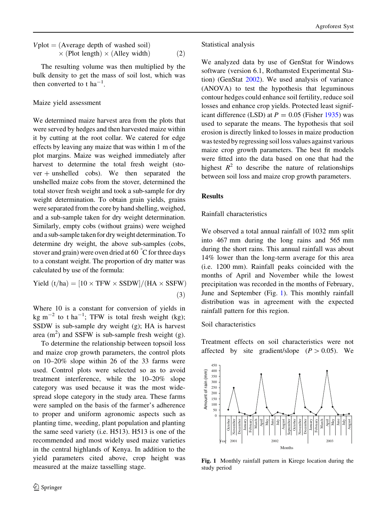$$
Vplot = (Average depth of washed soil)
$$
  
× (Plot length) × (Alley width) (2)

The resulting volume was then multiplied by the bulk density to get the mass of soil lost, which was then converted to t  $ha^{-1}$ .

## Maize yield assessment

We determined maize harvest area from the plots that were served by hedges and then harvested maize within it by cutting at the root collar. We catered for edge effects by leaving any maize that was within 1 m of the plot margins. Maize was weighed immediately after harvest to determine the total fresh weight (sto $ver + unshelled \ncobs$ . We then separated the unshelled maize cobs from the stover, determined the total stover fresh weight and took a sub-sample for dry weight determination. To obtain grain yields, grains were separated from the core by hand shelling, weighed, and a sub-sample taken for dry weight determination. Similarly, empty cobs (without grains) were weighed and a sub-sample taken for dry weight determination. To determine dry weight, the above sub-samples (cobs, stover and grain) were oven dried at 60  $\degree$ C for three days to a constant weight. The proportion of dry matter was calculated by use of the formula:

$$
Yield (t/ha) = [10 \times TFW \times SSDW]/(HA \times SSFW)
$$
\n(3)

Where 10 is a constant for conversion of yields in kg m<sup>-2</sup> to t ha<sup>-1</sup>; TFW is total fresh weight (kg); SSDW is sub-sample dry weight (g); HA is harvest area  $(m<sup>2</sup>)$  and SSFW is sub-sample fresh weight (g).

To determine the relationship between topsoil loss and maize crop growth parameters, the control plots on 10–20% slope within 26 of the 33 farms were used. Control plots were selected so as to avoid treatment interference, while the 10–20% slope category was used because it was the most widespread slope category in the study area. These farms were sampled on the basis of the farmer's adherence to proper and uniform agronomic aspects such as planting time, weeding, plant population and planting the same seed variety (i.e. H513). H513 is one of the recommended and most widely used maize varieties in the central highlands of Kenya. In addition to the yield parameters cited above, crop height was measured at the maize tasselling stage.

#### Statistical analysis

We analyzed data by use of GenStat for Windows software (version 6.1, Rothamsted Experimental Station) (GenStat [2002](#page-11-0)). We used analysis of variance (ANOVA) to test the hypothesis that leguminous contour hedges could enhance soil fertility, reduce soil losses and enhance crop yields. Protected least significant difference (LSD) at  $P = 0.05$  (Fisher [1935\)](#page-10-0) was used to separate the means. The hypothesis that soil erosion is directly linked to losses in maize production was tested by regressing soil loss values against various maize crop growth parameters. The best fit models were fitted into the data based on one that had the highest  $R^2$  to describe the nature of relationships between soil loss and maize crop growth parameters.

#### Results

## Rainfall characteristics

We observed a total annual rainfall of 1032 mm split into 467 mm during the long rains and 565 mm during the short rains. This annual rainfall was about 14% lower than the long-term average for this area (i.e. 1200 mm). Rainfall peaks coincided with the months of April and November while the lowest precipitation was recorded in the months of February, June and September (Fig. 1). This monthly rainfall distribution was in agreement with the expected rainfall pattern for this region.

Soil characteristics

Treatment effects on soil characteristics were not affected by site gradient/slope  $(P > 0.05)$ . We



Fig. 1 Monthly rainfall pattern in Kirege location during the study period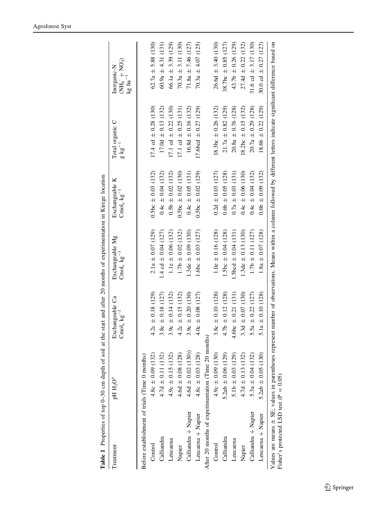<span id="page-4-0"></span>

| Treatment                                          | pH $H_2O^a$            | Exchangeable Ca<br>$\mathsf{Cmol}_c$ $\mathsf{kg}^{-1}$ | Exchangeable Mg<br>Cmol <sub>c</sub> $kg^{-1}$ | Exchangeable K<br>Cmol <sub>c</sub> $kg^{-1}$ | Total organic C<br>$g \text{ kg}^{-1}$ | $(NH_4^- + NO_3^-)$<br>kg ha <sup>-1</sup><br>Inorganic-N |
|----------------------------------------------------|------------------------|---------------------------------------------------------|------------------------------------------------|-----------------------------------------------|----------------------------------------|-----------------------------------------------------------|
| Before establishment of trials (Time 0 months      |                        |                                                         |                                                |                                               |                                        |                                                           |
| Control                                            | 4.8c $\pm$ 0.09 (132)  | $4.2c \pm 0.18$ (129)                                   | $2.1a \pm 0.07$ (129)                          | $0.5bc \pm 0.03$ (132)                        | $17.4$ cd $\pm$ 0.28 (130)             | $62.7a \pm 5.88$ (130)                                    |
| Calliandra                                         | $4.7d \pm 0.11$ (132)  | $3.8c \pm 0.18$ (127)                                   | 1.4 cd $\pm$ 0.04 (127)                        | $0.4c \pm 0.04$ (132)                         | $17.0d \pm 0.13$ (132)                 | $60.9a \pm 4.31(131)$                                     |
| Leucaena                                           | $4.9c \pm 0.15$ (132)  | $3.9c \pm 0.14(132)$                                    | 1.1e $\pm$ 0.06 (132)                          | $0.5b \pm 0.02$ (132)                         | 17.1 cd $\pm$ 0.22 (130)               | $66.1a \pm 3.39$ (129)                                    |
| Napier                                             | $4.6d \pm 0.08$ (128)  | $4.2c \pm 0.15$ (132)                                   | $1.7b \pm 0.02$ (132)                          | $0.5bc \pm 0.02$ (130)                        | 17.1 cd $\pm$ 0.25 (131)               | $70.3a \pm 3.11(130)$                                     |
| Calliandra + Napier                                | $4.6d \pm 0.02$ (130)) | $3.9c \pm 0.20$ (130)                                   | 1.3de $\pm$ 0.09 (130)                         | $0.4c \pm 0.05$ (131)                         | $16.8d \pm 0.16$ (132)                 | $71.8a \pm 7.46$ (127)                                    |
| Leucaena + Napier                                  | $4.8c \pm 0.03$ (128)  | $4.0c \pm 0.08$ (127)                                   | $1.6bc \pm 0.03$ (127)                         | $0.5bc \pm 0.02$ (129)                        | 17.6bcd $\pm$ 0.27 (129)               | $70.3a \pm 4.07$ (125)                                    |
| After 20 months of experimentation (Time 20 months |                        |                                                         |                                                |                                               |                                        |                                                           |
| Control                                            | $4.9c \pm 0.09$ (130)  | $3.8c \pm 0.10$ (128)                                   | $1.0e \pm 0.16$ (128)                          | $0.2d \pm 0.03$ (127)                         | $(8.3bc \pm 0.26)$ (132)               | $26.6d \pm 3.40$ (130)                                    |
| Calliandra                                         | 5.2ab $\pm$ 0.06 (129) | $4.7b \pm 0.12$ (128)                                   | $1.5bc \pm 0.04$ (128)                         | $0.6b \pm 0.05$ (128)                         | $21.7a \pm 0.82$ (129)                 | 38.7bc $\pm$ 0.85 (127)                                   |
| Leucaena                                           | 5.1b $\pm$ 0.03 (129)  | $4.6bc \pm 0.21$ (131)                                  | $1.5$ bcd $\pm 0.04$ (131)                     | $0.7a \pm 0.03$ (131)                         | $20.8a \pm 0.76$ (128)                 | $43.7b \pm 0.26$ (129)                                    |
| Napier                                             | $4.7d \pm 0.13$ (132)  | 3.3d $\pm$ 0.07 (130)                                   | 1.3de $\pm$ 0.13 (130)                         | $0.4c \pm 0.06$ (130)                         | $18.2$ bc $\pm$ 0.15 (132)             | $27.4d \pm 0.22$ (132)                                    |
| Calliandra + Napier                                | 5.3a $\pm$ 0.04 (132)  | $5.5a \pm 0.22$ (127)                                   | $1.7b \pm 0.11(127)$                           | $0.4c \pm 0.04$ (132)                         | $20.7a \pm 0.29$ (128)                 | 31.6 cd $\pm$ 3.17 (130)                                  |
| Leucaena + Napier                                  | $5.2ab \pm 0.05$ (130) | 5.1a $\pm$ 0.10 (128)                                   | $1.8a \pm 0.07$ (128)                          | $0.6b \pm 0.09$ (132)                         | 18.6b $\pm$ 0.22 (129)                 | 30.0 cd $\pm$ 0.27 (127)                                  |
|                                                    |                        |                                                         |                                                |                                               |                                        |                                                           |

Table 1 Properties of top 0-30 cm depth of soil at the start and after 20 months of experimentation in Kirege location Table 1 Properties of top 0–30 cm depth of soil at the start and after 20 months of experimentation in Kirege location

Values are means  $\pm$  SE; values in parentheses represent number of observations. Means within a column followed by different letters indicate significant difference based on Fisher's protected LSD test  $(P = 0.05)$ Values are means ± SE; values in parentheses represent number of observations. Means within a column followed by different letters indicate significant difference based on Fisher's protected LSD test  $(P = 0.05)$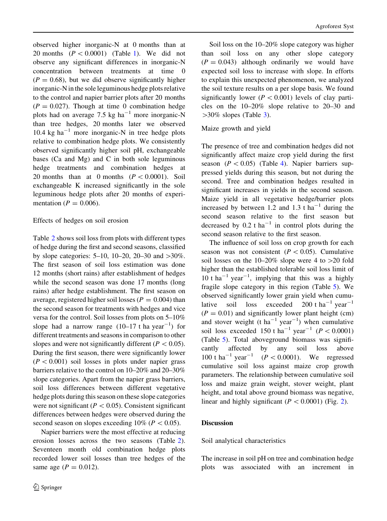observed higher inorganic-N at 0 months than at 20 months  $(P < 0.0001)$  $(P < 0.0001)$  $(P < 0.0001)$  (Table 1). We did not observe any significant differences in inorganic-N concentration between treatments at time 0  $(P = 0.68)$ , but we did observe significantly higher inorganic-N in the sole leguminous hedge plots relative to the control and napier barrier plots after 20 months  $(P = 0.027)$ . Though at time 0 combination hedge plots had on average 7.5 kg ha<sup>-1</sup> more inorganic-N than tree hedges, 20 months later we observed 10.4 kg ha<sup> $-1$ </sup> more inorganic-N in tree hedge plots relative to combination hedge plots. We consistently observed significantly higher soil pH, exchangeable bases (Ca and Mg) and C in both sole leguminous hedge treatments and combination hedges at 20 months than at 0 months  $(P < 0.0001)$ . Soil exchangeable K increased significantly in the sole leguminous hedge plots after 20 months of experimentation ( $P = 0.006$ ).

# Effects of hedges on soil erosion

Table [2](#page-6-0) shows soil loss from plots with different types of hedge during the first and second seasons, classified by slope categories:  $5-10$ ,  $10-20$ ,  $20-30$  and  $>30\%$ . The first season of soil loss estimation was done 12 months (short rains) after establishment of hedges while the second season was done 17 months (long rains) after hedge establishment. The first season on average, registered higher soil losses ( $P = 0.004$ ) than the second season for treatments with hedges and vice versa for the control. Soil losses from plots on 5–10% slope had a narrow range  $(10-17$  t ha year<sup>-1</sup>) for different treatments and seasons in comparison to other slopes and were not significantly different ( $P\lt 0.05$ ). During the first season, there were significantly lower  $(P<0.001)$  soil losses in plots under napier grass barriers relative to the control on 10–20% and 20–30% slope categories. Apart from the napier grass barriers, soil loss differences between different vegetative hedge plots during this season on these slope categories were not significant ( $P \lt 0.05$ ). Consistent significant differences between hedges were observed during the second season on slopes exceeding  $10\%$  ( $P < 0.05$ ).

Napier barriers were the most effective at reducing erosion losses across the two seasons (Table [2](#page-6-0)). Seventeen month old combination hedge plots recorded lower soil losses than tree hedges of the same age ( $P = 0.012$ ).

Soil loss on the 10–20% slope category was higher than soil loss on any other slope category  $(P = 0.043)$  although ordinarily we would have expected soil loss to increase with slope. In efforts to explain this unexpected phenomenon, we analyzed the soil texture results on a per slope basis. We found significantly lower ( $P < 0.001$ ) levels of clay particles on the 10–20% slope relative to 20–30 and  $>30\%$  slopes (Table [3\)](#page-6-0).

# Maize growth and yield

The presence of tree and combination hedges did not significantly affect maize crop yield during the first season ( $P < 0.05$ ) (Table [4](#page-7-0)). Napier barriers suppressed yields during this season, but not during the second. Tree and combination hedges resulted in significant increases in yields in the second season. Maize yield in all vegetative hedge/barrier plots increased by between 1.2 and 1.3 t  $ha^{-1}$  during the second season relative to the first season but decreased by  $0.2$  t ha<sup>-1</sup> in control plots during the second season relative to the first season.

The influence of soil loss on crop growth for each season was not consistent ( $P < 0.05$ ). Cumulative soil losses on the  $10-20\%$  slope were 4 to  $>20$  fold higher than the established tolerable soil loss limit of 10 t ha<sup>-1</sup> year<sup>-1</sup>, implying that this was a highly fragile slope category in this region (Table [5](#page-7-0)). We observed significantly lower grain yield when cumulative soil loss exceeded 200 t ha<sup>-1</sup> year<sup>-1</sup>  $(P = 0.01)$  and significantly lower plant height (cm) and stover weight (t ha<sup>-1</sup> year<sup>-1</sup>) when cumulative soil loss exceeded 150 t ha<sup>-1</sup> year<sup>-1</sup> ( $P < 0.0001$ ) (Table [5](#page-7-0)). Total aboveground biomass was significantly affected by any soil loss above 100 t ha<sup>-1</sup> year<sup>-1</sup> ( $P < 0.0001$ ). We regressed cumulative soil loss against maize crop growth parameters. The relationship between cumulative soil loss and maize grain weight, stover weight, plant height, and total above ground biomass was negative, linear and highly significant ( $P < 0.0001$ ) (Fig. [2\)](#page-8-0).

# **Discussion**

Soil analytical characteristics

The increase in soil pH on tree and combination hedge plots was associated with an increment in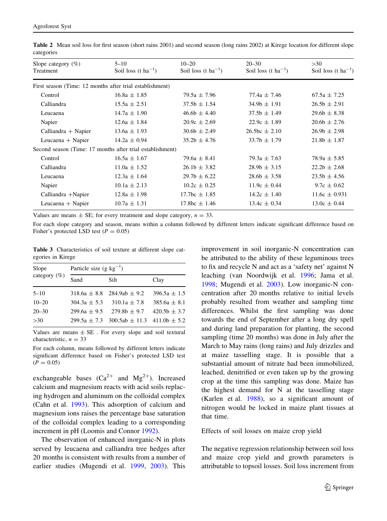| Slope category $(\%)$<br>Treatment                        | $5 - 10$<br>Soil loss (t $ha^{-1}$ ) | $10 - 20$<br>Soil loss (t $ha^{-1}$ ) | $20 - 30$<br>Soil loss (t $ha^{-1}$ ) | >30<br>Soil loss (t $ha^{-1}$ ) |
|-----------------------------------------------------------|--------------------------------------|---------------------------------------|---------------------------------------|---------------------------------|
| First season (Time: 12 months after trial establishment)  |                                      |                                       |                                       |                                 |
| Control                                                   | $16.8a \pm 1.85$                     | 79.5a $\pm$ 7.96                      | $77.4a \pm 7.46$                      | $67.5a \pm 7.25$                |
| Calliandra                                                | $15.5a \pm 2.51$                     | $37.5b \pm 1.54$                      | $34.9b \pm 1.91$                      | $26.5b \pm 2.91$                |
| Leucaena                                                  | $14.7a \pm 1.90$                     | $46.6b \pm 4.40$                      | $37.5b \pm 1.49$                      | $29.6b \pm 8.38$                |
| Napier                                                    | $12.6a \pm 1.84$                     | $20.9c \pm 2.69$                      | $22.9c \pm 1.89$                      | $20.6b \pm 2.76$                |
| $Calliandra + Napier$                                     | $13.6a \pm 1.93$                     | $30.6b \pm 2.49$                      | $26.5bc \pm 2.10$                     | $26.9b \pm 2.98$                |
| Leucaena $+$ Napier                                       | $14.2a \pm 0.94$                     | $35.2b \pm 4.76$                      | $33.7b \pm 1.79$                      | $21.8b \pm 1.87$                |
| Second season (Time: 17 months after trial establishment) |                                      |                                       |                                       |                                 |
| Control                                                   | $16.5a \pm 1.67$                     | 79.6a $\pm$ 8.41                      | $79.3a \pm 7.63$                      | $78.9a \pm 5.85$                |
| Calliandra                                                | $11.0a \pm 1.52$                     | $26.1b \pm 3.82$                      | $28.9b \pm 3.15$                      | $22.2b \pm 2.68$                |
| Leucaena                                                  | $12.3a \pm 1.64$                     | $29.7b \pm 6.22$                      | $28.6b \pm 3.58$                      | $23.5b \pm 4.56$                |
| Napier                                                    | $10.1a \pm 2.13$                     | $10.2c \pm 0.25$                      | $11.9c \pm 0.44$                      | 9.7c $\pm$ 0.62                 |
| Calliandra +Napier                                        | $12.8a \pm 1.98$                     | 17.7bc $\pm$ 1.85                     | $14.2c \pm 1.40$                      | $11.6c \pm 0.931$               |
| Leucaena $+$ Napier                                       | $10.7a \pm 1.31$                     | 17.8bc $\pm$ 1.46                     | 13.4c $\pm$ 0.34                      | $13.0c \pm 0.44$                |

<span id="page-6-0"></span>Table 2 Mean soil loss for first season (short rains 2001) and second season (long rains 2002) at Kirege location for different slope categories

Values are means  $\pm$  SE; for every treatment and slope category,  $n = 33$ .

For each slope category and season, means within a column followed by different letters indicate significant difference based on Fisher's protected LSD test ( $P = 0.05$ )

Table 3 Characteristics of soil texture at different slope categories in Kirege

| Slope           | Particle size $(g \text{ kg}^{-1})$ |                                                      |                  |  |
|-----------------|-------------------------------------|------------------------------------------------------|------------------|--|
| category $(\%)$ | Sand                                | Silt                                                 | Clay             |  |
| $5 - 10$        |                                     | 318.6a $\pm$ 8.8 284.9ab $\pm$ 9.2                   | 396.5a $\pm$ 1.5 |  |
| $10 - 20$       |                                     | $304.3a + 5.3$ $310.1a + 7.8$                        | $385.6a \pm 8.1$ |  |
| $20 - 30$       | $299.6a + 9.5$                      | $279.8b \pm 9.7$                                     | $420.5h \pm 3.7$ |  |
| >30             |                                     | $299.5a \pm 7.3$ 300.5ab $\pm$ 11.3 411.0b $\pm$ 5.2 |                  |  |

Values are means  $\pm$  SE. For every slope and soil textural characteristic,  $n = 33$ 

For each column, means followed by different letters indicate significant difference based on Fisher's protected LSD test  $(P = 0.05)$ 

exchangeable bases  $(Ca^{2+}$  and  $Mg^{2+})$ . Increased calcium and magnesium reacts with acid soils replacing hydrogen and aluminum on the colloidal complex (Cahn et al. [1993](#page-10-0)). This adsorption of calcium and magnesium ions raises the percentage base saturation of the colloidal complex leading to a corresponding increment in pH (Loomis and Connor [1992](#page-11-0)).

The observation of enhanced inorganic-N in plots served by leucaena and calliandra tree hedges after 20 months is consistent with results from a number of earlier studies (Mugendi et al. [1999](#page-11-0), [2003\)](#page-11-0). This improvement in soil inorganic-N concentration can be attributed to the ability of these leguminous trees to fix and recycle N and act as a 'safety net' against N leaching (van Noordwijk et al. [1996](#page-12-0); Jama et al. [1998;](#page-11-0) Mugendi et al. [2003](#page-11-0)). Low inorganic-N concentration after 20 months relative to initial levels probably resulted from weather and sampling time differences. Whilst the first sampling was done towards the end of September after a long dry spell and during land preparation for planting, the second sampling (time 20 months) was done in July after the March to May rains (long rains) and July drizzles and at maize tasselling stage. It is possible that a substantial amount of nitrate had been immobilized, leached, denitrified or even taken up by the growing crop at the time this sampling was done. Maize has the highest demand for N at the tasselling stage (Karlen et al. [1988\)](#page-11-0), so a significant amount of nitrogen would be locked in maize plant tissues at that time.

Effects of soil losses on maize crop yield

The negative regression relationship between soil loss and maize crop yield and growth parameters is attributable to topsoil losses. Soil loss increment from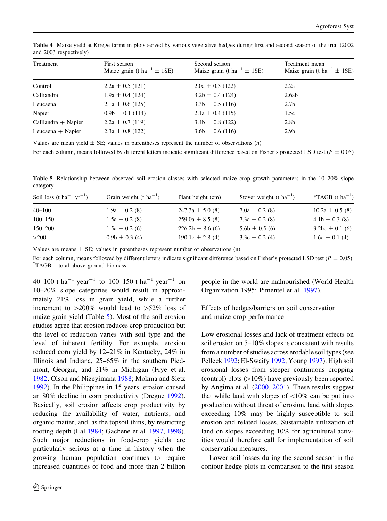| Treatment             | First season<br>Maize grain (t ha <sup>-1</sup> $\pm$ 1SE) | Second season<br>Maize grain (t ha <sup>-1</sup> $\pm$ 1SE) | Treatment mean<br>Maize grain (t ha <sup>-1</sup> $\pm$ 1SE) |
|-----------------------|------------------------------------------------------------|-------------------------------------------------------------|--------------------------------------------------------------|
| Control               | $2.2a \pm 0.5$ (121)                                       | $2.0a \pm 0.3$ (122)                                        | 2.2a                                                         |
| Calliandra            | $1.9a \pm 0.4$ (124)                                       | $3.2b \pm 0.4$ (124)                                        | 2.6ab                                                        |
| Leucaena              | $2.1a \pm 0.6$ (125)                                       | $3.3b \pm 0.5$ (116)                                        | 2.7 <sub>b</sub>                                             |
| Napier                | $0.9b \pm 0.1$ (114)                                       | $2.1a \pm 0.4$ (115)                                        | 1.5c                                                         |
| Calliandra $+$ Napier | $2.2a \pm 0.7$ (119)                                       | $3.4b \pm 0.8$ (122)                                        | 2.8b                                                         |
| Leucaena $+$ Napier   | $2.3a \pm 0.8$ (122)                                       | $3.6b \pm 0.6$ (116)                                        | 2.9 <sub>b</sub>                                             |
|                       |                                                            |                                                             |                                                              |

<span id="page-7-0"></span>Table 4 Maize yield at Kirege farms in plots served by various vegetative hedges during first and second season of the trial (2002 and 2003 respectively)

Values are mean yield  $\pm$  SE; values in parentheses represent the number of observations (n)

For each column, means followed by different letters indicate significant difference based on Fisher's protected LSD test ( $P = 0.05$ )

Table 5 Relationship between observed soil erosion classes with selected maize crop growth parameters in the 10–20% slope category

| Soil loss (t ha <sup>-1</sup> yr <sup>-1</sup> ) | Grain weight (t ha <sup>-1</sup> ) | Plant height (cm)    | Stover weight (t $ha^{-1}$ ) | *TAGB (t ha <sup>-1</sup> ) |
|--------------------------------------------------|------------------------------------|----------------------|------------------------------|-----------------------------|
| $40 - 100$                                       | $1.9a \pm 0.2$ (8)                 | $247.3a \pm 5.0$ (8) | 7.0a $\pm$ 0.2 (8)           | $10.2a \pm 0.5$ (8)         |
| $100 - 150$                                      | $1.5a \pm 0.2$ (8)                 | $259.0a \pm 8.5$ (8) | 7.3a $\pm$ 0.2 (8)           | $4.1b \pm 0.3$ (8)          |
| 150–200                                          | $1.5a \pm 0.2$ (6)                 | $226.2b \pm 8.6$ (6) | $5.6b \pm 0.5(6)$            | $3.2bc \pm 0.1$ (6)         |
| >200                                             | $0.9b \pm 0.3$ (4)                 | 190.1c $\pm$ 2.8 (4) | $3.3c \pm 0.2$ (4)           | $1.6c \pm 0.1$ (4)          |

Values are means  $\pm$  SE; values in parentheses represent number of observations (n)

For each column, means followed by different letters indicate significant difference based on Fisher's protected LSD test ( $P = 0.05$ ). TAGB – total above ground biomass

40–100 t ha<sup>-1</sup> year<sup>-1</sup> to 100–150 t ha<sup>-1</sup> year<sup>-1</sup> on 10–20% slope categories would result in approximately 21% loss in grain yield, while a further increment to  $>200\%$  would lead to  $>52\%$  loss of maize grain yield (Table 5). Most of the soil erosion studies agree that erosion reduces crop production but the level of reduction varies with soil type and the level of inherent fertility. For example, erosion reduced corn yield by 12–21% in Kentucky, 24% in Illinois and Indiana, 25–65% in the southern Piedmont, Georgia, and 21% in Michigan (Frye et al. [1982;](#page-11-0) Olson and Nizeyimana [1988](#page-11-0); Mokma and Sietz [1992\)](#page-11-0). In the Philippines in 15 years, erosion caused an 80% decline in corn productivity (Dregne [1992](#page-10-0)). Basically, soil erosion affects crop productivity by reducing the availability of water, nutrients, and organic matter, and, as the topsoil thins, by restricting rooting depth (Lal [1984;](#page-11-0) Gachene et al. [1997,](#page-11-0) [1998](#page-11-0)). Such major reductions in food-crop yields are particularly serious at a time in history when the growing human population continues to require increased quantities of food and more than 2 billion

people in the world are malnourished (World Health Organization 1995; Pimentel et al. [1997](#page-11-0)).

Effects of hedges/barriers on soil conservation and maize crop performance

Low erosional losses and lack of treatment effects on soil erosion on 5–10% slopes is consistent with results from a number of studies across erodable soil types (see Pelleck [1992](#page-11-0); El-Swaify [1992](#page-10-0); Young [1997](#page-12-0)). High soil erosional losses from steeper continuous cropping (control) plots  $(>10\%)$  have previously been reported by Angima et al. ([2000,](#page-10-0) [2001](#page-10-0)). These results suggest that while land with slopes of  $\langle 10\% \rangle$  can be put into production without threat of erosion, land with slopes exceeding 10% may be highly susceptible to soil erosion and related losses. Sustainable utilization of land on slopes exceeding 10% for agricultural activities would therefore call for implementation of soil conservation measures.

Lower soil losses during the second season in the contour hedge plots in comparison to the first season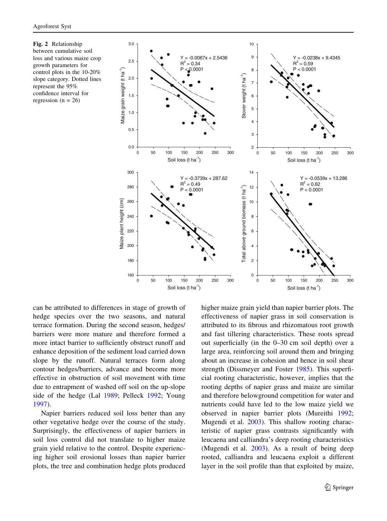<span id="page-8-0"></span>Fig. 2 Relationship between cumulative soil loss and various maize crop growth parameters for control plots in the 10-20% slope category. Dotted lines represent the 95% confidence interval for regression ( $n = 26$ )



can be attributed to differences in stage of growth of hedge species over the two seasons, and natural terrace formation. During the second season, hedges/ barriers were more mature and therefore formed a more intact barrier to sufficiently obstruct runoff and enhance deposition of the sediment load carried down slope by the runoff. Natural terraces form along contour hedges/barriers, advance and become more effective in obstruction of soil movement with time due to entrapment of washed off soil on the up-slope side of the hedge (Lal [1989;](#page-11-0) Pelleck [1992;](#page-11-0) Young [1997\)](#page-12-0).

Napier barriers reduced soil loss better than any other vegetative hedge over the course of the study. Surprisingly, the effectiveness of napier barriers in soil loss control did not translate to higher maize grain yield relative to the control. Despite experiencing higher soil erosional losses than napier barrier plots, the tree and combination hedge plots produced higher maize grain yield than napier barrier plots. The effectiveness of napier grass in soil conservation is attributed to its fibrous and rhizomatous root growth and fast tillering characteristics. These roots spread out superficially (in the 0–30 cm soil depth) over a large area, reinforcing soil around them and bringing about an increase in cohesion and hence in soil shear strength (Dissmeyer and Foster [1985](#page-10-0)). This superficial rooting characteristic, however, implies that the rooting depths of napier grass and maize are similar and therefore belowground competition for water and nutrients could have led to the low maize yield we observed in napier barrier plots (Mureithi [1992](#page-11-0); Mugendi et al. [2003\)](#page-11-0). This shallow rooting characteristic of napier grass contrasts significantly with leucaena and calliandra's deep rooting characteristics (Mugendi et al. [2003](#page-11-0)). As a result of being deep rooted, calliandra and leucaena exploit a different layer in the soil profile than that exploited by maize,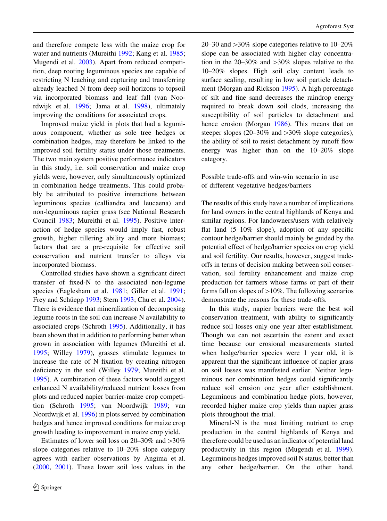and therefore compete less with the maize crop for water and nutrients (Mureithi [1992](#page-11-0); Kang et al. [1985](#page-11-0); Mugendi et al. [2003](#page-11-0)). Apart from reduced competition, deep rooting leguminous species are capable of restricting N leaching and capturing and transferring already leached N from deep soil horizons to topsoil via incorporated biomass and leaf fall (van Noordwijk et al. [1996](#page-12-0); Jama et al. [1998](#page-11-0)), ultimately improving the conditions for associated crops.

Improved maize yield in plots that had a leguminous component, whether as sole tree hedges or combination hedges, may therefore be linked to the improved soil fertility status under those treatments. The two main system positive performance indicators in this study, i.e. soil conservation and maize crop yields were, however, only simultaneously optimized in combination hedge treatments. This could probably be attributed to positive interactions between leguminous species (calliandra and leucaena) and non-leguminous napier grass (see National Research Council [1983;](#page-11-0) Mureithi et al. [1995\)](#page-11-0). Positive interaction of hedge species would imply fast, robust growth, higher tillering ability and more biomass; factors that are a pre-requisite for effective soil conservation and nutrient transfer to alleys via incorporated biomass.

Controlled studies have shown a significant direct transfer of fixed-N to the associated non-legume species (Eaglesham et al. [1981](#page-10-0); Giller et al. [1991](#page-11-0); Frey and Schüepp [1993;](#page-12-0) Stern 1993; Chu et al. [2004](#page-10-0)). There is evidence that mineralization of decomposing legume roots in the soil can increase N availability to associated crops (Schroth [1995](#page-11-0)). Additionally, it has been shown that in addition to performing better when grown in association with legumes (Mureithi et al. [1995;](#page-11-0) Willey [1979\)](#page-12-0), grasses stimulate legumes to increase the rate of N fixation by creating nitrogen deficiency in the soil (Willey [1979](#page-12-0); Mureithi et al. [1995\)](#page-11-0). A combination of these factors would suggest enhanced N availability/reduced nutrient losses from plots and reduced napier barrier-maize crop competition (Schroth [1995;](#page-11-0) van Noordwijk [1989;](#page-12-0) van Noordwijk et al. [1996\)](#page-12-0) in plots served by combination hedges and hence improved conditions for maize crop growth leading to improvement in maize crop yield.

Estimates of lower soil loss on  $20-30\%$  and  $>30\%$ slope categories relative to 10–20% slope category agrees with earlier observations by Angima et al. [\(2000](#page-10-0), [2001\)](#page-10-0). These lower soil loss values in the 20–30 and  $>30\%$  slope categories relative to 10–20% slope can be associated with higher clay concentration in the  $20-30\%$  and  $>30\%$  slopes relative to the 10–20% slopes. High soil clay content leads to surface sealing, resulting in low soil particle detachment (Morgan and Rickson [1995\)](#page-11-0). A high percentage of silt and fine sand decreases the raindrop energy required to break down soil clods, increasing the susceptibility of soil particles to detachment and hence erosion (Morgan [1986\)](#page-11-0). This means that on steeper slopes  $(20-30\% \text{ and } >30\% \text{ slope categories})$ , the ability of soil to resist detachment by runoff flow energy was higher than on the 10–20% slope category.

Possible trade-offs and win-win scenario in use of different vegetative hedges/barriers

The results of this study have a number of implications for land owners in the central highlands of Kenya and similar regions. For landowners/users with relatively flat land  $(5-10\%$  slope), adoption of any specific contour hedge/barrier should mainly be guided by the potential effect of hedge/barrier species on crop yield and soil fertility. Our results, however, suggest tradeoffs in terms of decision making between soil conservation, soil fertility enhancement and maize crop production for farmers whose farms or part of their farms fall on slopes of  $>10\%$ . The following scenarios demonstrate the reasons for these trade-offs.

In this study, napier barriers were the best soil conservation treatment, with ability to significantly reduce soil losses only one year after establishment. Though we can not ascertain the extent and exact time because our erosional measurements started when hedge/barrier species were 1 year old, it is apparent that the significant influence of napier grass on soil losses was manifested earlier. Neither leguminous nor combination hedges could significantly reduce soil erosion one year after establishment. Leguminous and combination hedge plots, however, recorded higher maize crop yields than napier grass plots throughout the trial.

Mineral-N is the most limiting nutrient to crop production in the central highlands of Kenya and therefore could be used as an indicator of potential land productivity in this region (Mugendi et al. [1999](#page-11-0)). Leguminous hedges improved soil N status, better than any other hedge/barrier. On the other hand,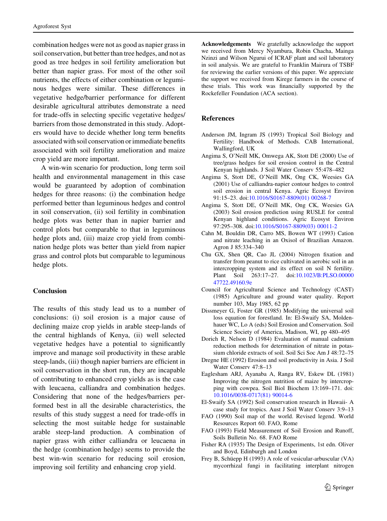<span id="page-10-0"></span>combination hedges were not as good as napier grass in soil conservation, but better than tree hedges, and not as good as tree hedges in soil fertility amelioration but better than napier grass. For most of the other soil nutrients, the effects of either combination or leguminous hedges were similar. These differences in vegetative hedge/barrier performance for different desirable agricultural attributes demonstrate a need for trade-offs in selecting specific vegetative hedges/ barriers from those demonstrated in this study. Adopters would have to decide whether long term benefits associated with soil conservation or immediate benefits associated with soil fertility amelioration and maize crop yield are more important.

A win-win scenario for production, long term soil health and environmental management in this case would be guaranteed by adoption of combination hedges for three reasons: (i) the combination hedge performed better than leguminous hedges and control in soil conservation, (ii) soil fertility in combination hedge plots was better than in napier barrier and control plots but comparable to that in leguminous hedge plots and, (iii) maize crop yield from combination hedge plots was better than yield from napier grass and control plots but comparable to leguminous hedge plots.

# Conclusion

The results of this study lead us to a number of conclusions: (i) soil erosion is a major cause of declining maize crop yields in arable steep-lands of the central highlands of Kenya, (ii) well selected vegetative hedges have a potential to significantly improve and manage soil productivity in these arable steep-lands, (iii) though napier barriers are efficient in soil conservation in the short run, they are incapable of contributing to enhanced crop yields as is the case with leucaena, calliandra and combination hedges. Considering that none of the hedges/barriers performed best in all the desirable characteristics, the results of this study suggest a need for trade-offs in selecting the most suitable hedge for sustainable arable steep-land production. A combination of napier grass with either calliandra or leucaena in the hedge (combination hedge) seems to provide the best win-win scenario for reducing soil erosion, improving soil fertility and enhancing crop yield.

Acknowledgements We gratefully acknowledge the support we received from Mercy Nyambura, Robin Chacha, Mainga Nzinzi and Wilson Ngurui of ICRAF plant and soil laboratory in soil analysis. We are grateful to Franklin Mairura of TSBF for reviewing the earlier versions of this paper. We appreciate the support we received from Kirege farmers in the course of these trials. This work was financially supported by the Rockefeller Foundation (ACA section).

## References

- Anderson JM, Ingram JS (1993) Tropical Soil Biology and Fertility: Handbook of Methods. CAB International, Wallingford, UK
- Angima S, O'Neill MK, Omwega AK, Stott DE (2000) Use of tree/grass hedges for soil erosion control in the Central Kenyan highlands. J Soil Water Conserv 55:478–482
- Angima S, Stott DE, O'Neill MK, Ong CK, Weesies GA (2001) Use of calliandra-napier contour hedges to control soil erosion in central Kenya. Agric Ecosyst Environ 91:15–23. doi[:10.1016/S0167-8809\(01\) 00268-7](http://dx.doi.org/10.1016/S0167-8809(01) 00268-7)
- Angima S, Stott DE, O'Neill MK, Ong CK, Weesies GA (2003) Soil erosion prediction using RUSLE for central Kenyan highland conditions. Agric Ecosyst Environ 97:295–308. doi:[10.1016/S0167-8809\(03\) 00011-2](http://dx.doi.org/10.1016/S0167-8809(03) 00011-2)
- Cahn M, Bouldin DR, Carro MS, Bowen WT (1993) Cation and nitrate leaching in an Oxisol of Brazilian Amazon. Agron J 85:334–340
- Chu GX, Shen QR, Cao JL (2004) Nitrogen fixation and transfer from peanut to rice cultivated in aerobic soil in an intercropping system and its effect on soil N fertility. Plant Soil 263:17–27. doi[:10.1023/B:PLSO.00000](http://dx.doi.org/10.1023/B:PLSO.0000047722.49160.9e) [47722.49160.9e](http://dx.doi.org/10.1023/B:PLSO.0000047722.49160.9e)
- Council for Agricultural Science and Technology (CAST) (1985) Agriculture and ground water quality. Report number 103, May 1985, 62 pp
- Dissmeyer G, Foster GR (1985) Modifying the universal soil loss equation for forestland. In: El-Swaify SA, Moldenhauer WC, Lo A (eds) Soil Erosion and Conservation. Soil Science Society of America, Madison, WI, pp 480–495
- Dorich R, Nelson D (1984) Evaluation of manual cadmium reduction methods for determination of nitrate in potassium chloride extracts of soil. Soil Sci Soc Am J 48:72–75
- Dregne HE (1992) Erosion and soil productivity in Asia. J Soil Water Conserv 47:8–13
- Eaglesham ARJ, Ayanaba A, Ranga RV, Eskew DL (1981) Improving the nitrogen nutrition of maize by intercropping with cowpea. Soil Biol Biochem 13:169–171. doi: [10.1016/0038-0717\(81\) 90014-6](http://dx.doi.org/10.1016/0038-0717(81) 90014-6)
- El-Swaify SA (1992) Soil conservation research in Hawaii- A case study for tropics. Aust J Soil Water Conserv 3:9–13
- FAO (1990) Soil map of the world. Revised legend. World Resources Report 60. FAO, Rome
- FAO (1993) Field Measurement of Soil Erosion and Runoff, Soils Bulletin No. 68. FAO Rome
- Fisher RA (1935) The Design of Experiments, 1st edn. Oliver and Boyd, Edinburgh and London
- Frey B, Schüepp H (1993) A role of vesicular-arbuscular (VA) mycorrhizal fungi in facilitating interplant nitrogen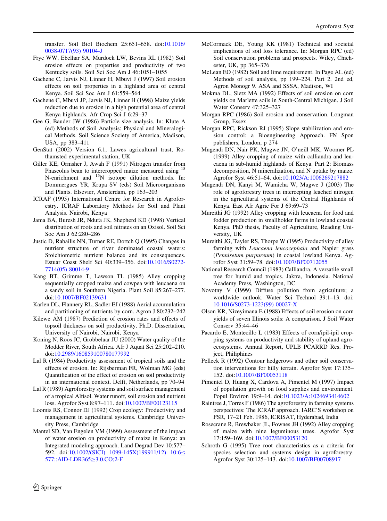<span id="page-11-0"></span>transfer. Soil Biol Biochem 25:651–658. doi[:10.1016/](http://dx.doi.org/10.1016/0038-0717(93) 90104-J) [0038-0717\(93\) 90104-J](http://dx.doi.org/10.1016/0038-0717(93) 90104-J)

- Frye WW, Ebelhar SA, Murdock LW, Bevins RL (1982) Soil erosion effects on properties and productivity of two Kentucky soils. Soil Sci Soc Am J 46:1051–1055
- Gachene C, Jarvis NJ, Linner H, Mbuvi J (1997) Soil erosion effects on soil properties in a highland area of central Kenya. Soil Sci Soc Am J 61:559–564
- Gachene C, Mbuvi JP, Jarvis NJ, Linner H (1998) Maize yields reduction due to erosion in a high potential area of central Kenya highlands. Afr Crop Sci J 6:29–37
- Gee G, Bauder JW (1986) Particle size analysis. In: Klute A (ed) Methods of Soil Analysis: Physical and Mineralogical Methods. Soil Science Society of America, Madison, USA, pp 383–411
- GenStat (2002) Version 6.1, Lawes agricultural trust, Rothamsted experimental station, UK
- Giller KE, Ormsher J, Awah F (1991) Nitrogen transfer from Phaseolus bean to intercropped maize measured using <sup>15</sup> N-enrichment and  $15N$  isotope dilution methods. In: Dommergues YR, Krupa SV (eds) Soil Microorganisms and Plants. Elsevier, Amsterdam, pp 163–203
- ICRAF (1995) International Centre for Research in Agroforestry. ICRAF Laboratory Methods for Soil and Plant Analysis. Nairobi, Kenya
- Jama BA, Buresh JR, Ndufa JK, Shepherd KD (1998) Vertical distribution of roots and soil nitrates on an Oxisol. Soil Sci Soc Am J 62:280–286
- Justic D, Rabailis NN, Turner RE, Dortch Q (1995) Changes in nutrient structure of river dominated coastal waters: Stoichiometric nutrient balance and its consequences. Estuar Coast Shelf Sci 40:339–356. doi:[10.1016/S0272-](http://dx.doi.org/10.1016/S0272-7714(05) 80014-9) [7714\(05\) 80014-9](http://dx.doi.org/10.1016/S0272-7714(05) 80014-9)
- Kang BT, Grimme T, Lawson TL (1985) Alley cropping sequentially cropped maize and cowpea with leucaena on a sandy soil in Southern Nigeria. Plant Soil 85:267–277. doi[:10.1007/BF02139631](http://dx.doi.org/10.1007/BF02139631)
- Karlen DL, Flannery RL, Sadler EJ (1988) Aerial accumulation and partitioning of nutrients by corn. Agron J 80:232–242
- Kilewe AM (1987) Prediction of erosion rates and effects of topsoil thickness on soil productivity. Ph.D. Dissertation, University of Nairobi, Nairobi, Kenya
- Koning N, Roos JC, Grobbelaar JU (2000) Water quality of the Modder River, South Africa. Afr J Aquat Sci 25:202–210. doi[:10.2989/160859100780177992](http://dx.doi.org/10.2989/160859100780177992)
- Lal R (1984) Productivity assessment of tropical soils and the effects of erosion. In: Rijsberman FR, Wolman MG (eds) Quantification of the effect of erosion on soil productivity in an international context. Delft, Netherlands, pp 70–94
- Lal R (1989) Agroforestry systems and soil surface management of a tropical Alfisol. Water runoff, soil erosion and nutrient loss. Agrofor Syst 8:97–111. doi:[10.1007/BF00123115](http://dx.doi.org/10.1007/BF00123115)
- Loomis RS, Connor DJ (1992) Crop ecology: Productivity and management in agricultural systems. Cambridge University Press, Cambridge
- Mantel SD, Van Engelen VM (1999) Assessment of the impact of water erosion on productivity of maize in Kenya: an Integrated modeling approach. Land Degrad Dev 10:577– 592. doi[:10.1002/\(SICI\) 1099-145X\(199911/12\) 10:6](http://dx.doi.org/10.1002/(SICI) 1099-145X(199911/12) 10:6≤577::AID-LDR365≥3.0.CO;2-F)  $577::AID-LDR365 \geq 3.0$  $577::AID-LDR365 \geq 3.0$ .CO;2-F
- McCormack DE, Young KK (1981) Technical and societal implications of soil loss tolerance. In: Morgan RPC (ed) Soil conservation problems and prospects. Wiley, Chichester, UK, pp 365–376
- McLean EO (1982) Soil and lime requirement. In Page AL (ed) Methods of soil analysis, pp 199–224. Part 2. 2nd ed, Agron Monogr 9. ASA and SSSA, Madison, WI
- Mokma DL, Sietz MA (1992) Effects of soil erosion on corn yields on Marlette soils in South-Central Michigan. J Soil Water Conserv 47:325–327
- Morgan RPC (1986) Soil erosion and conservation. Longman Group, Essex
- Morgan RPC, Rickson RJ (1995) Slope stabilization and erosion control: a Bioengineering Approach. FN Spon publishers, London, p 274
- Mugendi DN, Nair PK, Mugwe JN, O'neill MK, Woomer PL (1999) Alley cropping of maize with calliandra and leucaena in sub-humid highlands of Kenya. Part 2: Biomass decomposition, N mineralization, and N uptake by maize. Agrofor Syst 46:51–64. doi:[10.1023/A:1006269217882](http://dx.doi.org/10.1023/A:1006269217882)
- Mugendi DN, Kanyi M, Wamicha W, Mugwe J (2003) The role of agroforestry trees in intercepting leached nitrogen in the agricultural systems of the Central Highlands of Kenya. East Afr Agric For J 69:69–73
- Mureithi JG (1992) Alley cropping with leucaena for food and fodder production in smallholder farms in lowland coastal Kenya. PhD thesis, Faculty of Agriculture, Reading University, UK
- Mureithi JG, Tayler RS, Thorpe W (1995) Productivity of alley farming with *Leucaena leucocephala* and Napier grass (Pennisetum purpureum) in coastal lowland Kenya. Agrofor Syst 31:59–78. doi[:10.1007/BF00712055](http://dx.doi.org/10.1007/BF00712055)
- National Research Council (1983) Calliandra, A versatile small tree for humid and tropics. Jaktra, Indonesia. National Academy Press, Washington, DC
- Novotny V (1999) Diffuse pollution from agriculture; a worldwide outlook. Water Sci Technol 39:1–13. doi: [10.1016/S0273-1223\(99\) 00027-X](http://dx.doi.org/10.1016/S0273-1223(99) 00027-X)
- Olson KR, Nizeyimana E (1988) Effects of soil erosion on corn yields of seven Illinois soils: A comparison. J Soil Water Conserv 35:44–46
- Pacardo E, Montecillo L (1983) Effects of corn/ipil-ipil cropping systems on productivity and stability of upland agroecosystems. Annual Report, UPLB PCARRD Res. Project, Philiphines
- Pelleck R (1992) Contour hedgerows and other soil conservation interventions for hilly terrain. Agrofor Syst 17:135– 152. doi:[10.1007/BF00053118](http://dx.doi.org/10.1007/BF00053118)
- Pimentel D, Huang X, Cardova A, Pimentel M (1997) Impact of population growth on food supplies and environment. Popul Environ 19:9–14. doi:[10.1023/A:1024693414602](http://dx.doi.org/10.1023/A:1024693414602)
- Raintree J, Torres F (1986) The agroforestry in farming systems perspectives: The ICRAF approach. IARC'S workshop on FSR, 17–21 Feb. 1986, ICRISAT, Hyderabad, India
- Rosecrane R, Brewbaker JL, Fownes JH (1992) Alley cropping of maize with nine leguminous trees. Agrofor Syst 17:159–169. doi:[10.1007/BF00053120](http://dx.doi.org/10.1007/BF00053120)
- Schroth G (1995) Tree root characteristics as a criteria for species selection and systems design in agroforestry. Agrofor Syst 30:125–143. doi[:10.1007/BF00708917](http://dx.doi.org/10.1007/BF00708917)